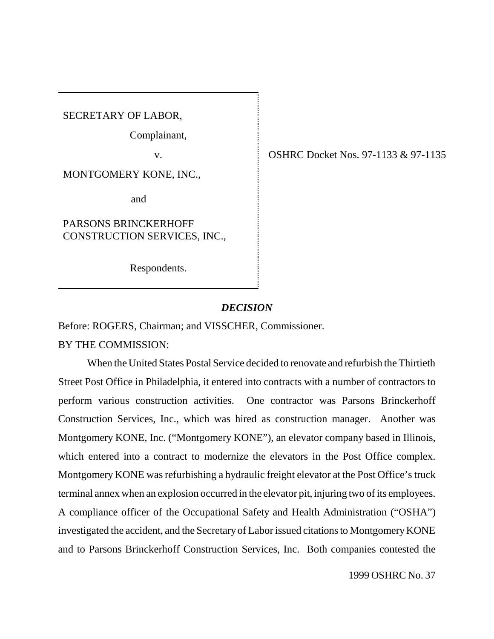SECRETARY OF LABOR,

Complainant,

MONTGOMERY KONE, INC.,

and

PARSONS BRINCKERHOFF CONSTRUCTION SERVICES, INC.,

Respondents.

v. OSHRC Docket Nos. 97-1133 & 97-1135

# *DECISION*

Before: ROGERS, Chairman; and VISSCHER, Commissioner.

BY THE COMMISSION:

When the United States Postal Service decided to renovate and refurbish the Thirtieth Street Post Office in Philadelphia, it entered into contracts with a number of contractors to perform various construction activities. One contractor was Parsons Brinckerhoff Construction Services, Inc., which was hired as construction manager. Another was Montgomery KONE, Inc. ("Montgomery KONE"), an elevator company based in Illinois, which entered into a contract to modernize the elevators in the Post Office complex. Montgomery KONE was refurbishing a hydraulic freight elevator at the Post Office's truck terminal annex when an explosion occurred in the elevator pit, injuring two of its employees. A compliance officer of the Occupational Safety and Health Administration ("OSHA") investigated the accident, and the Secretary of Labor issued citations to Montgomery KONE and to Parsons Brinckerhoff Construction Services, Inc. Both companies contested the

1999 OSHRC No. 37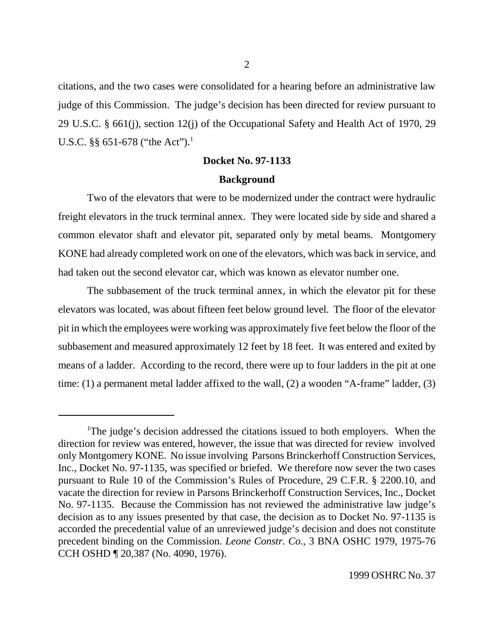citations, and the two cases were consolidated for a hearing before an administrative law judge of this Commission. The judge's decision has been directed for review pursuant to 29 U.S.C. § 661(j), section 12(j) of the Occupational Safety and Health Act of 1970, 29 U.S.C. §§ 651-678 ("the Act").<sup>1</sup>

# **Docket No. 97-1133 Background**

Two of the elevators that were to be modernized under the contract were hydraulic freight elevators in the truck terminal annex. They were located side by side and shared a common elevator shaft and elevator pit, separated only by metal beams. Montgomery KONE had already completed work on one of the elevators, which was back in service, and had taken out the second elevator car, which was known as elevator number one.

The subbasement of the truck terminal annex, in which the elevator pit for these elevators was located, was about fifteen feet below ground level. The floor of the elevator pit in which the employees were working was approximately five feet below the floor of the subbasement and measured approximately 12 feet by 18 feet. It was entered and exited by means of a ladder. According to the record, there were up to four ladders in the pit at one time: (1) a permanent metal ladder affixed to the wall, (2) a wooden "A-frame" ladder, (3)

<sup>&</sup>lt;sup>1</sup>The judge's decision addressed the citations issued to both employers. When the direction for review was entered, however, the issue that was directed for review involved only Montgomery KONE. No issue involving Parsons Brinckerhoff Construction Services, Inc., Docket No. 97-1135, was specified or briefed. We therefore now sever the two cases pursuant to Rule 10 of the Commission's Rules of Procedure, 29 C.F.R. § 2200.10, and vacate the direction for review in Parsons Brinckerhoff Construction Services, Inc., Docket No. 97-1135. Because the Commission has not reviewed the administrative law judge's decision as to any issues presented by that case, the decision as to Docket No. 97-1135 is accorded the precedential value of an unreviewed judge's decision and does not constitute precedent binding on the Commission. *Leone Constr. Co.*, 3 BNA OSHC 1979, 1975-76 CCH OSHD ¶ 20,387 (No. 4090, 1976).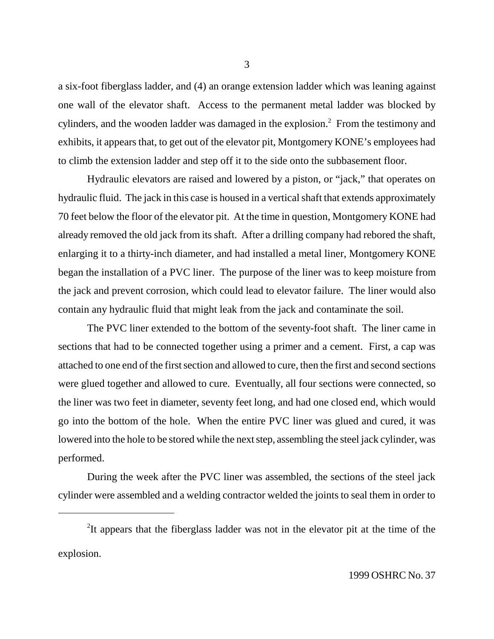a six-foot fiberglass ladder, and (4) an orange extension ladder which was leaning against one wall of the elevator shaft. Access to the permanent metal ladder was blocked by cylinders, and the wooden ladder was damaged in the explosion. $2$  From the testimony and exhibits, it appears that, to get out of the elevator pit, Montgomery KONE's employees had to climb the extension ladder and step off it to the side onto the subbasement floor.

Hydraulic elevators are raised and lowered by a piston, or "jack," that operates on hydraulic fluid. The jack in this case is housed in a vertical shaft that extends approximately 70 feet below the floor of the elevator pit. At the time in question, Montgomery KONE had already removed the old jack from its shaft. After a drilling company had rebored the shaft, enlarging it to a thirty-inch diameter, and had installed a metal liner, Montgomery KONE began the installation of a PVC liner. The purpose of the liner was to keep moisture from the jack and prevent corrosion, which could lead to elevator failure. The liner would also contain any hydraulic fluid that might leak from the jack and contaminate the soil.

The PVC liner extended to the bottom of the seventy-foot shaft. The liner came in sections that had to be connected together using a primer and a cement. First, a cap was attached to one end of the first section and allowed to cure, then the first and second sections were glued together and allowed to cure. Eventually, all four sections were connected, so the liner was two feet in diameter, seventy feet long, and had one closed end, which would go into the bottom of the hole. When the entire PVC liner was glued and cured, it was lowered into the hole to be stored while the next step, assembling the steel jack cylinder, was performed.

During the week after the PVC liner was assembled, the sections of the steel jack cylinder were assembled and a welding contractor welded the joints to seal them in order to

3

<sup>&</sup>lt;sup>2</sup>It appears that the fiberglass ladder was not in the elevator pit at the time of the explosion.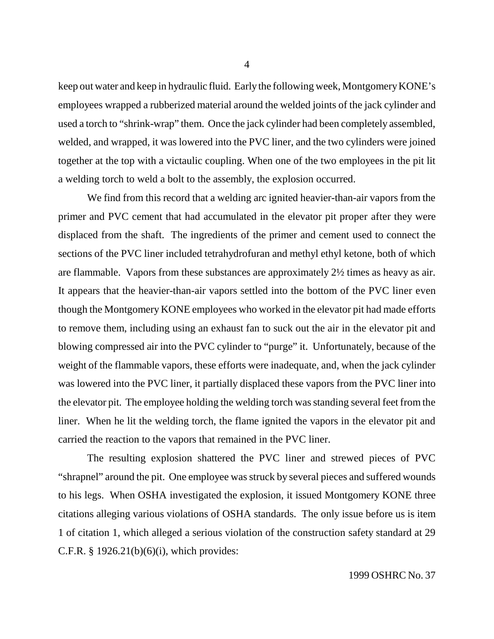keep out water and keep in hydraulic fluid. Early the following week, Montgomery KONE's employees wrapped a rubberized material around the welded joints of the jack cylinder and used a torch to "shrink-wrap" them. Once the jack cylinder had been completely assembled, welded, and wrapped, it was lowered into the PVC liner, and the two cylinders were joined together at the top with a victaulic coupling. When one of the two employees in the pit lit a welding torch to weld a bolt to the assembly, the explosion occurred.

We find from this record that a welding arc ignited heavier-than-air vapors from the primer and PVC cement that had accumulated in the elevator pit proper after they were displaced from the shaft. The ingredients of the primer and cement used to connect the sections of the PVC liner included tetrahydrofuran and methyl ethyl ketone, both of which are flammable. Vapors from these substances are approximately 2½ times as heavy as air. It appears that the heavier-than-air vapors settled into the bottom of the PVC liner even though the Montgomery KONE employees who worked in the elevator pit had made efforts to remove them, including using an exhaust fan to suck out the air in the elevator pit and blowing compressed air into the PVC cylinder to "purge" it. Unfortunately, because of the weight of the flammable vapors, these efforts were inadequate, and, when the jack cylinder was lowered into the PVC liner, it partially displaced these vapors from the PVC liner into the elevator pit. The employee holding the welding torch was standing several feet from the liner. When he lit the welding torch, the flame ignited the vapors in the elevator pit and carried the reaction to the vapors that remained in the PVC liner.

The resulting explosion shattered the PVC liner and strewed pieces of PVC "shrapnel" around the pit. One employee was struck by several pieces and suffered wounds to his legs. When OSHA investigated the explosion, it issued Montgomery KONE three citations alleging various violations of OSHA standards. The only issue before us is item 1 of citation 1, which alleged a serious violation of the construction safety standard at 29 C.F.R. § 1926.21(b)(6)(i), which provides: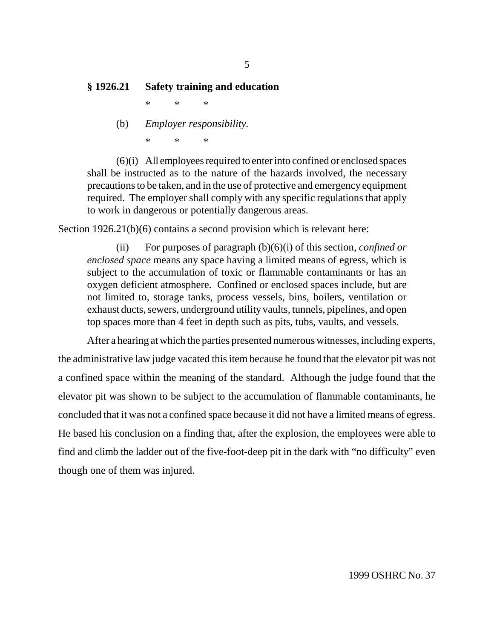# **§ 1926.21 Safety training and education**

\*\*\*

(b) *Employer responsibility.* \*\*\*

(6)(i) All employees required to enter into confined or enclosed spaces shall be instructed as to the nature of the hazards involved, the necessary precautions to be taken, and in the use of protective and emergency equipment required. The employer shall comply with any specific regulations that apply to work in dangerous or potentially dangerous areas.

Section 1926.21(b)(6) contains a second provision which is relevant here:

(ii) For purposes of paragraph (b)(6)(i) of this section, *confined or enclosed space* means any space having a limited means of egress, which is subject to the accumulation of toxic or flammable contaminants or has an oxygen deficient atmosphere. Confined or enclosed spaces include, but are not limited to, storage tanks, process vessels, bins, boilers, ventilation or exhaust ducts, sewers, underground utility vaults, tunnels, pipelines, and open top spaces more than 4 feet in depth such as pits, tubs, vaults, and vessels.

After a hearing at which the parties presented numerous witnesses, including experts, the administrative law judge vacated this item because he found that the elevator pit was not a confined space within the meaning of the standard. Although the judge found that the elevator pit was shown to be subject to the accumulation of flammable contaminants, he concluded that it was not a confined space because it did not have a limited means of egress. He based his conclusion on a finding that, after the explosion, the employees were able to find and climb the ladder out of the five-foot-deep pit in the dark with "no difficulty" even though one of them was injured.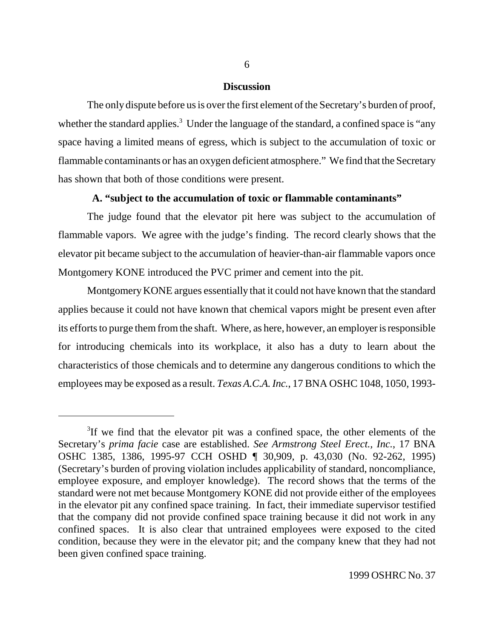#### **Discussion**

The only dispute before us is over the first element of the Secretary's burden of proof, whether the standard applies.<sup>3</sup> Under the language of the standard, a confined space is "any space having a limited means of egress, which is subject to the accumulation of toxic or flammable contaminants or has an oxygen deficient atmosphere." We find that the Secretary has shown that both of those conditions were present.

## **A. "subject to the accumulation of toxic or flammable contaminants"**

The judge found that the elevator pit here was subject to the accumulation of flammable vapors. We agree with the judge's finding. The record clearly shows that the elevator pit became subject to the accumulation of heavier-than-air flammable vapors once Montgomery KONE introduced the PVC primer and cement into the pit.

Montgomery KONE argues essentially that it could not have known that the standard applies because it could not have known that chemical vapors might be present even after its efforts to purge them from the shaft. Where, as here, however, an employer is responsible for introducing chemicals into its workplace, it also has a duty to learn about the characteristics of those chemicals and to determine any dangerous conditions to which the employees may be exposed as a result. *Texas A.C.A. Inc.*, 17 BNA OSHC 1048, 1050, 1993-

<sup>&</sup>lt;sup>3</sup>If we find that the elevator pit was a confined space, the other elements of the Secretary's *prima facie* case are established. *See Armstrong Steel Erect., Inc.*, 17 BNA OSHC 1385, 1386, 1995-97 CCH OSHD ¶ 30,909, p. 43,030 (No. 92-262, 1995) (Secretary's burden of proving violation includes applicability of standard, noncompliance, employee exposure, and employer knowledge). The record shows that the terms of the standard were not met because Montgomery KONE did not provide either of the employees in the elevator pit any confined space training. In fact, their immediate supervisor testified that the company did not provide confined space training because it did not work in any confined spaces. It is also clear that untrained employees were exposed to the cited condition, because they were in the elevator pit; and the company knew that they had not been given confined space training.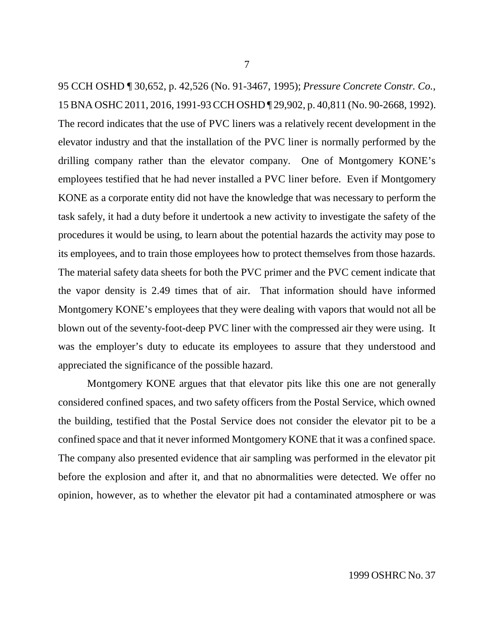95 CCH OSHD ¶ 30,652, p. 42,526 (No. 91-3467, 1995); *Pressure Concrete Constr. Co.*, 15 BNA OSHC 2011, 2016, 1991-93 CCH OSHD ¶ 29,902, p. 40,811 (No. 90-2668, 1992). The record indicates that the use of PVC liners was a relatively recent development in the elevator industry and that the installation of the PVC liner is normally performed by the drilling company rather than the elevator company. One of Montgomery KONE's employees testified that he had never installed a PVC liner before. Even if Montgomery KONE as a corporate entity did not have the knowledge that was necessary to perform the task safely, it had a duty before it undertook a new activity to investigate the safety of the procedures it would be using, to learn about the potential hazards the activity may pose to its employees, and to train those employees how to protect themselves from those hazards. The material safety data sheets for both the PVC primer and the PVC cement indicate that the vapor density is 2.49 times that of air. That information should have informed Montgomery KONE's employees that they were dealing with vapors that would not all be blown out of the seventy-foot-deep PVC liner with the compressed air they were using. It was the employer's duty to educate its employees to assure that they understood and appreciated the significance of the possible hazard.

Montgomery KONE argues that that elevator pits like this one are not generally considered confined spaces, and two safety officers from the Postal Service, which owned the building, testified that the Postal Service does not consider the elevator pit to be a confined space and that it never informed Montgomery KONE that it was a confined space. The company also presented evidence that air sampling was performed in the elevator pit before the explosion and after it, and that no abnormalities were detected. We offer no opinion, however, as to whether the elevator pit had a contaminated atmosphere or was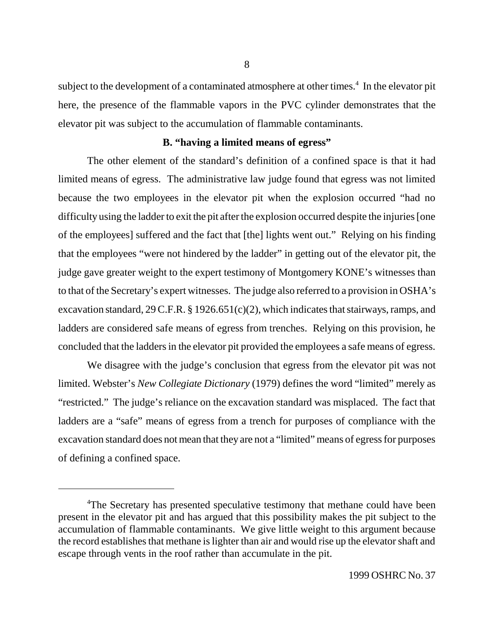subject to the development of a contaminated atmosphere at other times.<sup>4</sup> In the elevator pit here, the presence of the flammable vapors in the PVC cylinder demonstrates that the elevator pit was subject to the accumulation of flammable contaminants.

# **B. "having a limited means of egress"**

The other element of the standard's definition of a confined space is that it had limited means of egress. The administrative law judge found that egress was not limited because the two employees in the elevator pit when the explosion occurred "had no difficulty using the ladder to exit the pit after the explosion occurred despite the injuries [one of the employees] suffered and the fact that [the] lights went out." Relying on his finding that the employees "were not hindered by the ladder" in getting out of the elevator pit, the judge gave greater weight to the expert testimony of Montgomery KONE's witnesses than to that of the Secretary's expert witnesses. The judge also referred to a provision in OSHA's excavation standard, 29 C.F.R. § 1926.651(c)(2), which indicates that stairways, ramps, and ladders are considered safe means of egress from trenches. Relying on this provision, he concluded that the ladders in the elevator pit provided the employees a safe means of egress.

We disagree with the judge's conclusion that egress from the elevator pit was not limited. Webster's *New Collegiate Dictionary* (1979) defines the word "limited" merely as "restricted." The judge's reliance on the excavation standard was misplaced. The fact that ladders are a "safe" means of egress from a trench for purposes of compliance with the excavation standard does not mean that they are not a "limited" means of egress for purposes of defining a confined space.

<sup>&</sup>lt;sup>4</sup>The Secretary has presented speculative testimony that methane could have been present in the elevator pit and has argued that this possibility makes the pit subject to the accumulation of flammable contaminants. We give little weight to this argument because the record establishes that methane is lighter than air and would rise up the elevator shaft and escape through vents in the roof rather than accumulate in the pit.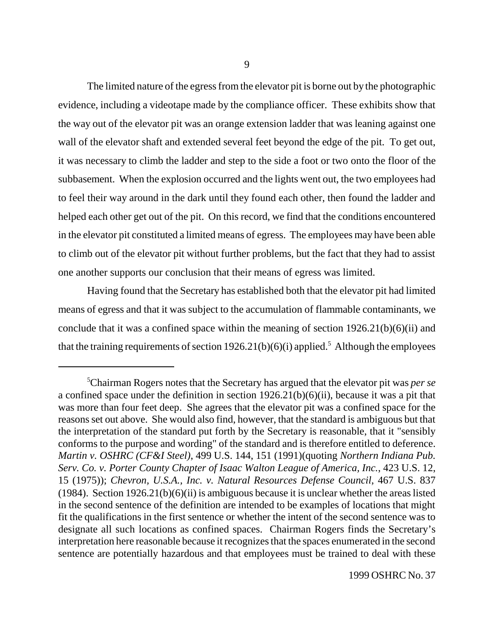The limited nature of the egress from the elevator pit is borne out by the photographic evidence, including a videotape made by the compliance officer. These exhibits show that the way out of the elevator pit was an orange extension ladder that was leaning against one wall of the elevator shaft and extended several feet beyond the edge of the pit. To get out, it was necessary to climb the ladder and step to the side a foot or two onto the floor of the subbasement. When the explosion occurred and the lights went out, the two employees had to feel their way around in the dark until they found each other, then found the ladder and helped each other get out of the pit. On this record, we find that the conditions encountered in the elevator pit constituted a limited means of egress. The employees may have been able to climb out of the elevator pit without further problems, but the fact that they had to assist one another supports our conclusion that their means of egress was limited.

Having found that the Secretary has established both that the elevator pit had limited means of egress and that it was subject to the accumulation of flammable contaminants, we conclude that it was a confined space within the meaning of section 1926.21(b)(6)(ii) and that the training requirements of section  $1926.21(b)(6)(i)$  applied.<sup>5</sup> Although the employees

<sup>5</sup> Chairman Rogers notes that the Secretary has argued that the elevator pit was *per se* a confined space under the definition in section 1926.21(b)(6)(ii), because it was a pit that was more than four feet deep. She agrees that the elevator pit was a confined space for the reasons set out above. She would also find, however, that the standard is ambiguous but that the interpretation of the standard put forth by the Secretary is reasonable, that it "sensibly conforms to the purpose and wording" of the standard and is therefore entitled to deference. *Martin v. OSHRC (CF&I Steel)*, 499 U.S. 144, 151 (1991)(quoting *Northern Indiana Pub. Serv. Co. v. Porter County Chapter of Isaac Walton League of America, Inc.*, 423 U.S. 12, 15 (1975)); *Chevron, U.S.A., Inc. v. Natural Resources Defense Council*, 467 U.S. 837 (1984). Section  $1926.21(b)(6)(ii)$  is ambiguous because it is unclear whether the areas listed in the second sentence of the definition are intended to be examples of locations that might fit the qualifications in the first sentence or whether the intent of the second sentence was to designate all such locations as confined spaces. Chairman Rogers finds the Secretary's interpretation here reasonable because it recognizes that the spaces enumerated in the second sentence are potentially hazardous and that employees must be trained to deal with these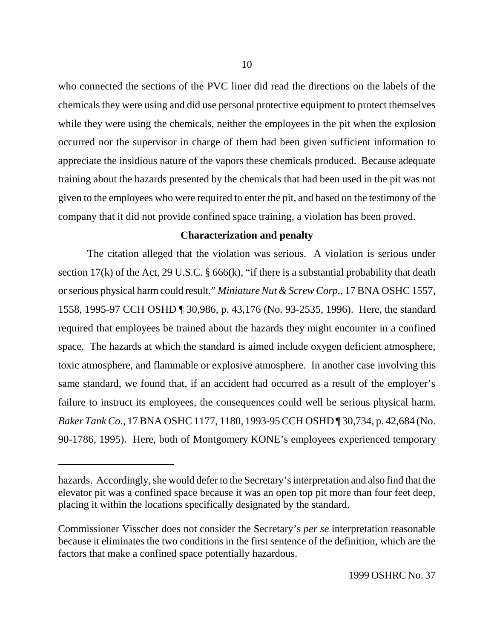who connected the sections of the PVC liner did read the directions on the labels of the chemicals they were using and did use personal protective equipment to protect themselves while they were using the chemicals, neither the employees in the pit when the explosion occurred nor the supervisor in charge of them had been given sufficient information to appreciate the insidious nature of the vapors these chemicals produced. Because adequate training about the hazards presented by the chemicals that had been used in the pit was not given to the employees who were required to enter the pit, and based on the testimony of the company that it did not provide confined space training, a violation has been proved.

# **Characterization and penalty**

The citation alleged that the violation was serious. A violation is serious under section 17(k) of the Act, 29 U.S.C.  $\S$  666(k), "if there is a substantial probability that death or serious physical harm could result." *Miniature Nut & Screw Corp.*, 17 BNA OSHC 1557, 1558, 1995-97 CCH OSHD ¶ 30,986, p. 43,176 (No. 93-2535, 1996). Here, the standard required that employees be trained about the hazards they might encounter in a confined space. The hazards at which the standard is aimed include oxygen deficient atmosphere, toxic atmosphere, and flammable or explosive atmosphere. In another case involving this same standard, we found that, if an accident had occurred as a result of the employer's failure to instruct its employees, the consequences could well be serious physical harm. *Baker Tank Co.*, 17 BNA OSHC 1177, 1180, 1993-95 CCH OSHD ¶ 30,734, p. 42,684 (No. 90-1786, 1995). Here, both of Montgomery KONE's employees experienced temporary

hazards. Accordingly, she would defer to the Secretary's interpretation and also find that the elevator pit was a confined space because it was an open top pit more than four feet deep, placing it within the locations specifically designated by the standard.

Commissioner Visscher does not consider the Secretary's *per se* interpretation reasonable because it eliminates the two conditions in the first sentence of the definition, which are the factors that make a confined space potentially hazardous.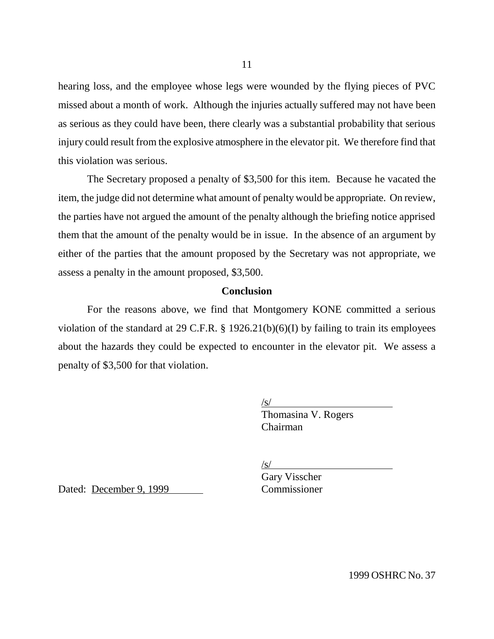hearing loss, and the employee whose legs were wounded by the flying pieces of PVC missed about a month of work. Although the injuries actually suffered may not have been as serious as they could have been, there clearly was a substantial probability that serious injury could result from the explosive atmosphere in the elevator pit. We therefore find that this violation was serious.

The Secretary proposed a penalty of \$3,500 for this item. Because he vacated the item, the judge did not determine what amount of penalty would be appropriate. On review, the parties have not argued the amount of the penalty although the briefing notice apprised them that the amount of the penalty would be in issue. In the absence of an argument by either of the parties that the amount proposed by the Secretary was not appropriate, we assess a penalty in the amount proposed, \$3,500.

### **Conclusion**

For the reasons above, we find that Montgomery KONE committed a serious violation of the standard at 29 C.F.R. § 1926.21(b)(6)(I) by failing to train its employees about the hazards they could be expected to encounter in the elevator pit. We assess a penalty of \$3,500 for that violation.

> /s/ Thomasina V. Rogers Chairman

/s/

Dated: December 9, 1999 Commissioner

Gary Visscher

1999 OSHRC No. 37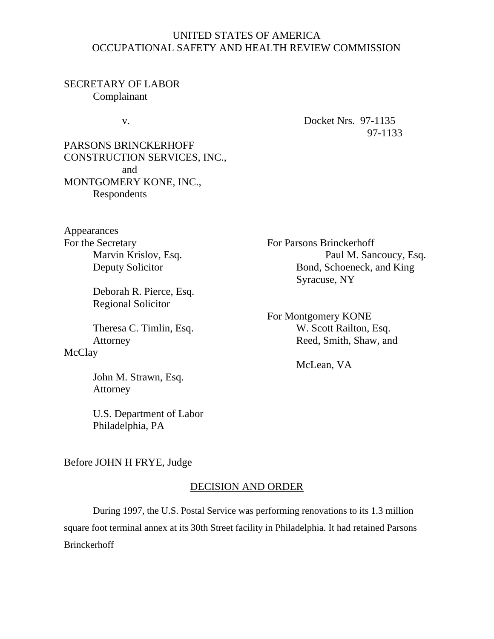# UNITED STATES OF AMERICA OCCUPATIONAL SAFETY AND HEALTH REVIEW COMMISSION

# SECRETARY OF LABOR Complainant

v. Docket Nrs. 97-1135 97-1133

PARSONS BRINCKERHOFF CONSTRUCTION SERVICES, INC., and MONTGOMERY KONE, INC., Respondents

Appearances For the Secretary<br>Marvin Krislov, Esq.<br>Paul M. San

Deborah R. Pierce, Esq. Regional Solicitor

# **McClay**

John M. Strawn, Esq. Attorney

U.S. Department of Labor Philadelphia, PA

Marvin Krislov, Esq. Paul M. Sancoucy, Esq. Paul M. Sancoucy, Esq. Paul M. Sancoucy, Esq. Bond, Schoeneck, and King Syracuse, NY

For Montgomery KONE Theresa C. Timlin, Esq. W. Scott Railton, Esq. Attorney Reed, Smith, Shaw, and

McLean, VA

Before JOHN H FRYE, Judge

# DECISION AND ORDER

During 1997, the U.S. Postal Service was performing renovations to its 1.3 million square foot terminal annex at its 30th Street facility in Philadelphia. It had retained Parsons Brinckerhoff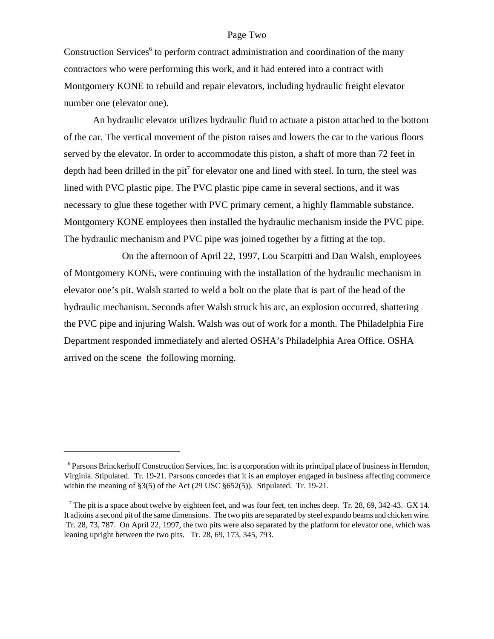#### Page Two

Construction Services<sup>6</sup> to perform contract administration and coordination of the many contractors who were performing this work, and it had entered into a contract with Montgomery KONE to rebuild and repair elevators, including hydraulic freight elevator number one (elevator one).

An hydraulic elevator utilizes hydraulic fluid to actuate a piston attached to the bottom of the car. The vertical movement of the piston raises and lowers the car to the various floors served by the elevator. In order to accommodate this piston, a shaft of more than 72 feet in depth had been drilled in the pit<sup>7</sup> for elevator one and lined with steel. In turn, the steel was lined with PVC plastic pipe. The PVC plastic pipe came in several sections, and it was necessary to glue these together with PVC primary cement, a highly flammable substance. Montgomery KONE employees then installed the hydraulic mechanism inside the PVC pipe. The hydraulic mechanism and PVC pipe was joined together by a fitting at the top.

On the afternoon of April 22, 1997, Lou Scarpitti and Dan Walsh, employees of Montgomery KONE, were continuing with the installation of the hydraulic mechanism in elevator one's pit. Walsh started to weld a bolt on the plate that is part of the head of the hydraulic mechanism. Seconds after Walsh struck his arc, an explosion occurred, shattering the PVC pipe and injuring Walsh. Walsh was out of work for a month. The Philadelphia Fire Department responded immediately and alerted OSHA's Philadelphia Area Office. OSHA arrived on the scene the following morning.

 <sup>6</sup> Parsons Brinckerhoff Construction Services, Inc. is a corporation with its principal place of business in Herndon, Virginia. Stipulated. Tr. 19-21. Parsons concedes that it is an employer engaged in business affecting commerce within the meaning of  $\S3(5)$  of the Act (29 USC  $\S652(5)$ ). Stipulated. Tr. 19-21.

<sup>&</sup>lt;sup>7</sup> The pit is a space about twelve by eighteen feet, and was four feet, ten inches deep. Tr. 28, 69, 342-43. GX 14. It adjoins a second pit of the same dimensions. The two pits are separated by steel expando beams and chicken wire. Tr. 28, 73, 787. On April 22, 1997, the two pits were also separated by the platform for elevator one, which was leaning upright between the two pits. Tr. 28, 69, 173, 345, 793.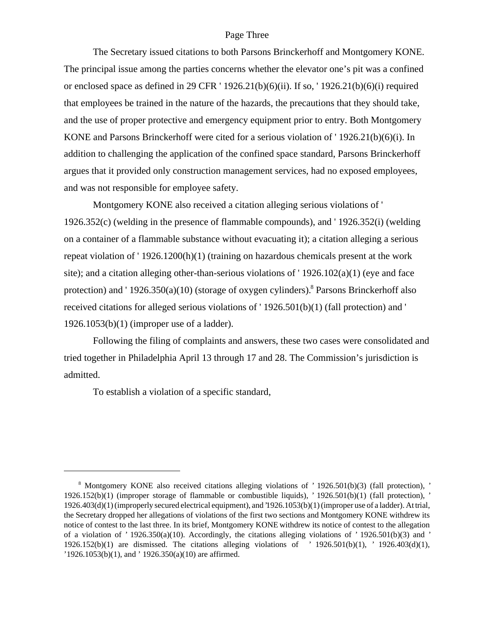#### Page Three

The Secretary issued citations to both Parsons Brinckerhoff and Montgomery KONE. The principal issue among the parties concerns whether the elevator one's pit was a confined or enclosed space as defined in 29 CFR ' 1926.21(b)(6)(ii). If so, ' 1926.21(b)(6)(i) required that employees be trained in the nature of the hazards, the precautions that they should take, and the use of proper protective and emergency equipment prior to entry. Both Montgomery KONE and Parsons Brinckerhoff were cited for a serious violation of ' 1926.21(b)(6)(i). In addition to challenging the application of the confined space standard, Parsons Brinckerhoff argues that it provided only construction management services, had no exposed employees, and was not responsible for employee safety.

Montgomery KONE also received a citation alleging serious violations of ' 1926.352(c) (welding in the presence of flammable compounds), and ' 1926.352(i) (welding on a container of a flammable substance without evacuating it); a citation alleging a serious repeat violation of ' 1926.1200(h)(1) (training on hazardous chemicals present at the work site); and a citation alleging other-than-serious violations of  $'1926.102(a)(1)$  (eye and face protection) and '1926.350(a)(10) (storage of oxygen cylinders).<sup>8</sup> Parsons Brinckerhoff also received citations for alleged serious violations of ' 1926.501(b)(1) (fall protection) and ' 1926.1053(b)(1) (improper use of a ladder).

Following the filing of complaints and answers, these two cases were consolidated and tried together in Philadelphia April 13 through 17 and 28. The Commission's jurisdiction is admitted.

To establish a violation of a specific standard,

 <sup>8</sup> Montgomery KONE also received citations alleging violations of ' 1926.501(b)(3) (fall protection), ' 1926.152(b)(1) (improper storage of flammable or combustible liquids), ' 1926.501(b)(1) (fall protection), ' 1926.403(d)(1) (improperly secured electrical equipment), and '1926.1053(b)(1) (improper use of a ladder). At trial, the Secretary dropped her allegations of violations of the first two sections and Montgomery KONE withdrew its notice of contest to the last three. In its brief, Montgomery KONE withdrew its notice of contest to the allegation of a violation of '  $1926.350(a)(10)$ . Accordingly, the citations alleging violations of '  $1926.501(b)(3)$  and ' 1926.152(b)(1) are dismissed. The citations alleging violations of ' 1926.501(b)(1), ' 1926.403(d)(1), '1926.1053(b)(1), and ' 1926.350(a)(10) are affirmed.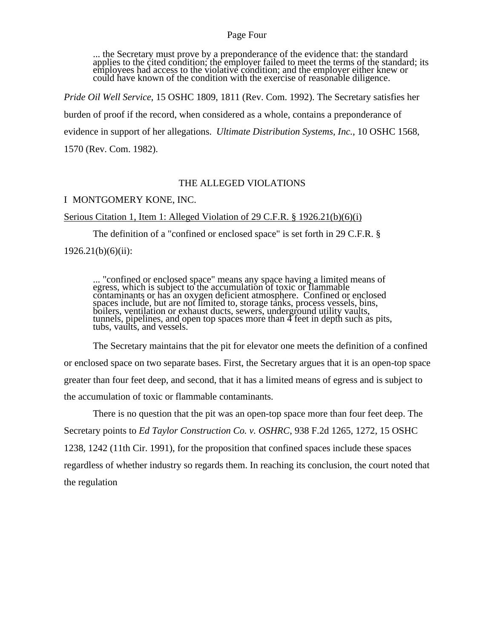#### Page Four

... the Secretary must prove by a preponderance of the evidence that: the standard applies to the cited condition; the employer failed to meet the terms of the standard; its employees had access to the violative condition; and the employer either knew or could have known of the condition with the exercise of reasonable diligence.

*Pride Oil Well Service*, 15 OSHC 1809, 1811 (Rev. Com. 1992). The Secretary satisfies her burden of proof if the record, when considered as a whole, contains a preponderance of evidence in support of her allegations. *Ultimate Distribution Systems, Inc.*, 10 OSHC 1568, 1570 (Rev. Com. 1982).

#### THE ALLEGED VIOLATIONS

#### I MONTGOMERY KONE, INC.

Serious Citation 1, Item 1: Alleged Violation of 29 C.F.R. § 1926.21(b)(6)(i)

The definition of a "confined or enclosed space" is set forth in 29 C.F.R. §

 $1926.21(b)(6)(ii)$ :

... "confined or enclosed space" means any space having a limited means of egress, which is subject to the accumulation of toxic or flammable contaminants or has an oxygen deficient atmosphere. Confined or enclosed spaces include, but are not limited to, storage tanks, process vessels, bins, boilers, ventilation or exhaust ducts, sewers, underground utility vaults, tunnels, pipelines, and open top spaces more than 4 feet in depth such as pits, tubs, vaults, and vessels.

The Secretary maintains that the pit for elevator one meets the definition of a confined or enclosed space on two separate bases. First, the Secretary argues that it is an open-top space greater than four feet deep, and second, that it has a limited means of egress and is subject to the accumulation of toxic or flammable contaminants.

There is no question that the pit was an open-top space more than four feet deep. The Secretary points to *Ed Taylor Construction Co. v. OSHRC*, 938 F.2d 1265, 1272, 15 OSHC 1238, 1242 (11th Cir. 1991), for the proposition that confined spaces include these spaces regardless of whether industry so regards them. In reaching its conclusion, the court noted that the regulation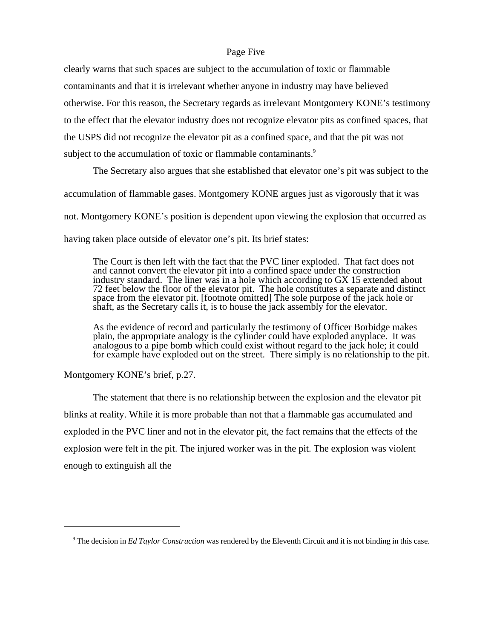#### Page Five

clearly warns that such spaces are subject to the accumulation of toxic or flammable contaminants and that it is irrelevant whether anyone in industry may have believed otherwise. For this reason, the Secretary regards as irrelevant Montgomery KONE's testimony to the effect that the elevator industry does not recognize elevator pits as confined spaces, that the USPS did not recognize the elevator pit as a confined space, and that the pit was not subject to the accumulation of toxic or flammable contaminants.<sup>9</sup>

The Secretary also argues that she established that elevator one's pit was subject to the

accumulation of flammable gases. Montgomery KONE argues just as vigorously that it was

not. Montgomery KONE's position is dependent upon viewing the explosion that occurred as

having taken place outside of elevator one's pit. Its brief states:

The Court is then left with the fact that the PVC liner exploded. That fact does not and cannot convert the elevator pit into a confined space under the construction industry standard. The liner was in a hole which according to GX 15 extended about 72 feet below the floor of the elevator pit. The hole constitutes a separate and distinct space from the elevator pit. [footnote omitted] The sole purpose of the jack hole or shaft, as the Secretary calls it, is to house the jack assembly for the elevator.

As the evidence of record and particularly the testimony of Officer Borbidge makes plain, the appropriate analogy is the cylinder could have exploded anyplace. It was analogous to a pipe bomb which could exist without regard to the jack hole; it could for example have exploded out on the street. There simply is no relationship to the pit.

Montgomery KONE's brief, p.27.

The statement that there is no relationship between the explosion and the elevator pit blinks at reality. While it is more probable than not that a flammable gas accumulated and exploded in the PVC liner and not in the elevator pit, the fact remains that the effects of the explosion were felt in the pit. The injured worker was in the pit. The explosion was violent enough to extinguish all the

<sup>&</sup>lt;sup>9</sup> The decision in *Ed Taylor Construction* was rendered by the Eleventh Circuit and it is not binding in this case.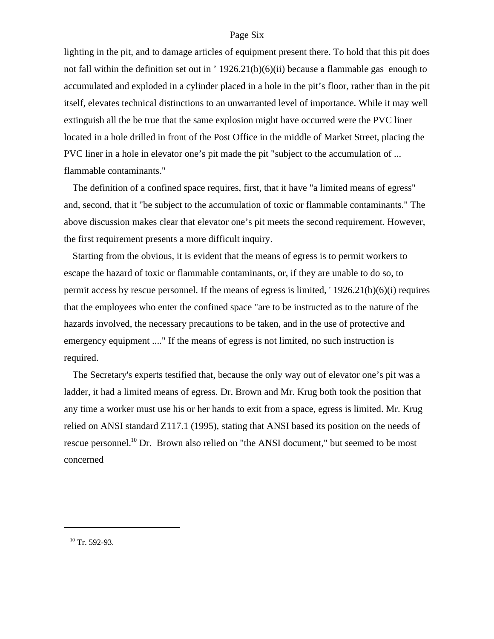#### Page Six

lighting in the pit, and to damage articles of equipment present there. To hold that this pit does not fall within the definition set out in ' 1926.21(b)(6)(ii) because a flammable gas enough to accumulated and exploded in a cylinder placed in a hole in the pit's floor, rather than in the pit itself, elevates technical distinctions to an unwarranted level of importance. While it may well extinguish all the be true that the same explosion might have occurred were the PVC liner located in a hole drilled in front of the Post Office in the middle of Market Street, placing the PVC liner in a hole in elevator one's pit made the pit "subject to the accumulation of ... flammable contaminants."

The definition of a confined space requires, first, that it have "a limited means of egress" and, second, that it "be subject to the accumulation of toxic or flammable contaminants." The above discussion makes clear that elevator one's pit meets the second requirement. However, the first requirement presents a more difficult inquiry.

Starting from the obvious, it is evident that the means of egress is to permit workers to escape the hazard of toxic or flammable contaminants, or, if they are unable to do so, to permit access by rescue personnel. If the means of egress is limited, ' 1926.21(b)(6)(i) requires that the employees who enter the confined space "are to be instructed as to the nature of the hazards involved, the necessary precautions to be taken, and in the use of protective and emergency equipment ...." If the means of egress is not limited, no such instruction is required.

The Secretary's experts testified that, because the only way out of elevator one's pit was a ladder, it had a limited means of egress. Dr. Brown and Mr. Krug both took the position that any time a worker must use his or her hands to exit from a space, egress is limited. Mr. Krug relied on ANSI standard Z117.1 (1995), stating that ANSI based its position on the needs of rescue personnel.<sup>10</sup> Dr. Brown also relied on "the ANSI document," but seemed to be most concerned

 $10$  Tr. 592-93.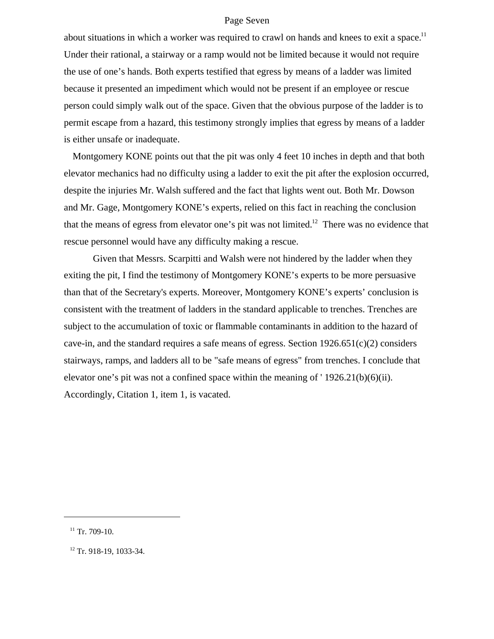#### Page Seven

about situations in which a worker was required to crawl on hands and knees to exit a space.<sup>11</sup> Under their rational, a stairway or a ramp would not be limited because it would not require the use of one's hands. Both experts testified that egress by means of a ladder was limited because it presented an impediment which would not be present if an employee or rescue person could simply walk out of the space. Given that the obvious purpose of the ladder is to permit escape from a hazard, this testimony strongly implies that egress by means of a ladder is either unsafe or inadequate.

Montgomery KONE points out that the pit was only 4 feet 10 inches in depth and that both elevator mechanics had no difficulty using a ladder to exit the pit after the explosion occurred, despite the injuries Mr. Walsh suffered and the fact that lights went out. Both Mr. Dowson and Mr. Gage, Montgomery KONE's experts, relied on this fact in reaching the conclusion that the means of egress from elevator one's pit was not limited.<sup>12</sup> There was no evidence that rescue personnel would have any difficulty making a rescue.

Given that Messrs. Scarpitti and Walsh were not hindered by the ladder when they exiting the pit, I find the testimony of Montgomery KONE's experts to be more persuasive than that of the Secretary's experts. Moreover, Montgomery KONE's experts' conclusion is consistent with the treatment of ladders in the standard applicable to trenches. Trenches are subject to the accumulation of toxic or flammable contaminants in addition to the hazard of cave-in, and the standard requires a safe means of egress. Section  $1926.651(c)(2)$  considers stairways, ramps, and ladders all to be "safe means of egress" from trenches. I conclude that elevator one's pit was not a confined space within the meaning of ' 1926.21(b)(6)(ii). Accordingly, Citation 1, item 1, is vacated.

 $11$  Tr. 709-10.

<sup>&</sup>lt;sup>12</sup> Tr. 918-19, 1033-34.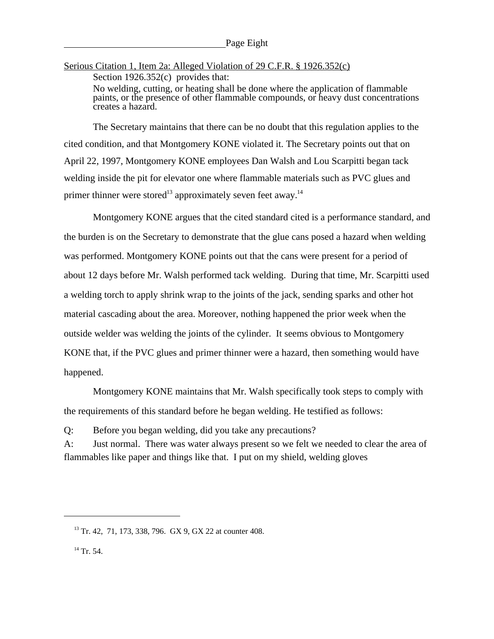Serious Citation 1, Item 2a: Alleged Violation of 29 C.F.R. § 1926.352(c) Section 1926.352(c) provides that: No welding, cutting, or heating shall be done where the application of flammable paints, or the presence of other flammable compounds, or heavy dust concentrations creates a hazard.

The Secretary maintains that there can be no doubt that this regulation applies to the cited condition, and that Montgomery KONE violated it. The Secretary points out that on April 22, 1997, Montgomery KONE employees Dan Walsh and Lou Scarpitti began tack welding inside the pit for elevator one where flammable materials such as PVC glues and primer thinner were stored<sup>13</sup> approximately seven feet away.<sup>14</sup>

Montgomery KONE argues that the cited standard cited is a performance standard, and the burden is on the Secretary to demonstrate that the glue cans posed a hazard when welding was performed. Montgomery KONE points out that the cans were present for a period of about 12 days before Mr. Walsh performed tack welding. During that time, Mr. Scarpitti used a welding torch to apply shrink wrap to the joints of the jack, sending sparks and other hot material cascading about the area. Moreover, nothing happened the prior week when the outside welder was welding the joints of the cylinder. It seems obvious to Montgomery KONE that, if the PVC glues and primer thinner were a hazard, then something would have happened.

Montgomery KONE maintains that Mr. Walsh specifically took steps to comply with the requirements of this standard before he began welding. He testified as follows:

Q: Before you began welding, did you take any precautions?

A: Just normal. There was water always present so we felt we needed to clear the area of flammables like paper and things like that. I put on my shield, welding gloves

13 Tr. 42, 71, 173, 338, 796. GX 9, GX 22 at counter 408.

<sup>&</sup>lt;sup>14</sup> Tr. 54.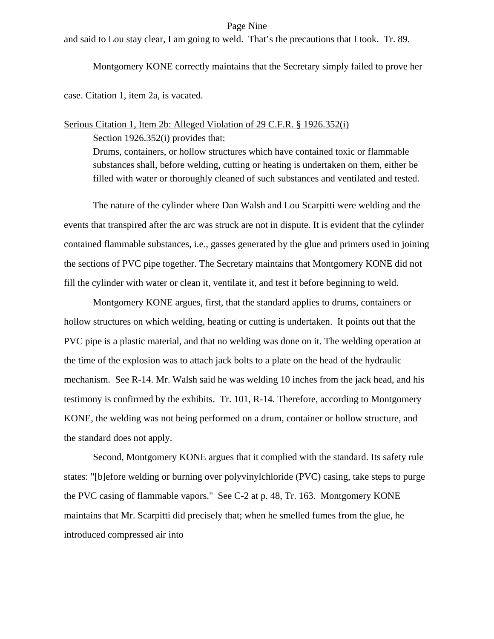#### Page Nine

and said to Lou stay clear, I am going to weld. That's the precautions that I took. Tr. 89.

Montgomery KONE correctly maintains that the Secretary simply failed to prove her

case. Citation 1, item 2a, is vacated.

## Serious Citation 1, Item 2b: Alleged Violation of 29 C.F.R. § 1926.352(i)

Section 1926.352(i) provides that:

Drums, containers, or hollow structures which have contained toxic or flammable substances shall, before welding, cutting or heating is undertaken on them, either be filled with water or thoroughly cleaned of such substances and ventilated and tested.

The nature of the cylinder where Dan Walsh and Lou Scarpitti were welding and the events that transpired after the arc was struck are not in dispute. It is evident that the cylinder contained flammable substances, i.e., gasses generated by the glue and primers used in joining the sections of PVC pipe together. The Secretary maintains that Montgomery KONE did not fill the cylinder with water or clean it, ventilate it, and test it before beginning to weld.

Montgomery KONE argues, first, that the standard applies to drums, containers or hollow structures on which welding, heating or cutting is undertaken. It points out that the PVC pipe is a plastic material, and that no welding was done on it. The welding operation at the time of the explosion was to attach jack bolts to a plate on the head of the hydraulic mechanism. See R-14. Mr. Walsh said he was welding 10 inches from the jack head, and his testimony is confirmed by the exhibits. Tr. 101, R-14. Therefore, according to Montgomery KONE, the welding was not being performed on a drum, container or hollow structure, and the standard does not apply.

Second, Montgomery KONE argues that it complied with the standard. Its safety rule states: "[b]efore welding or burning over polyvinylchloride (PVC) casing, take steps to purge the PVC casing of flammable vapors." See C-2 at p. 48, Tr. 163. Montgomery KONE maintains that Mr. Scarpitti did precisely that; when he smelled fumes from the glue, he introduced compressed air into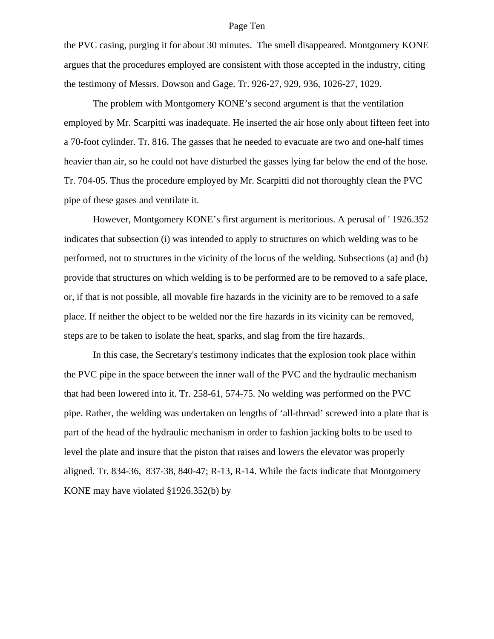#### Page Ten

the PVC casing, purging it for about 30 minutes. The smell disappeared. Montgomery KONE argues that the procedures employed are consistent with those accepted in the industry, citing the testimony of Messrs. Dowson and Gage. Tr. 926-27, 929, 936, 1026-27, 1029.

The problem with Montgomery KONE's second argument is that the ventilation employed by Mr. Scarpitti was inadequate. He inserted the air hose only about fifteen feet into a 70-foot cylinder. Tr. 816. The gasses that he needed to evacuate are two and one-half times heavier than air, so he could not have disturbed the gasses lying far below the end of the hose. Tr. 704-05. Thus the procedure employed by Mr. Scarpitti did not thoroughly clean the PVC pipe of these gases and ventilate it.

However, Montgomery KONE's first argument is meritorious. A perusal of ' 1926.352 indicates that subsection (i) was intended to apply to structures on which welding was to be performed, not to structures in the vicinity of the locus of the welding. Subsections (a) and (b) provide that structures on which welding is to be performed are to be removed to a safe place, or, if that is not possible, all movable fire hazards in the vicinity are to be removed to a safe place. If neither the object to be welded nor the fire hazards in its vicinity can be removed, steps are to be taken to isolate the heat, sparks, and slag from the fire hazards.

In this case, the Secretary's testimony indicates that the explosion took place within the PVC pipe in the space between the inner wall of the PVC and the hydraulic mechanism that had been lowered into it. Tr. 258-61, 574-75. No welding was performed on the PVC pipe. Rather, the welding was undertaken on lengths of 'all-thread' screwed into a plate that is part of the head of the hydraulic mechanism in order to fashion jacking bolts to be used to level the plate and insure that the piston that raises and lowers the elevator was properly aligned. Tr. 834-36, 837-38, 840-47; R-13, R-14. While the facts indicate that Montgomery KONE may have violated §1926.352(b) by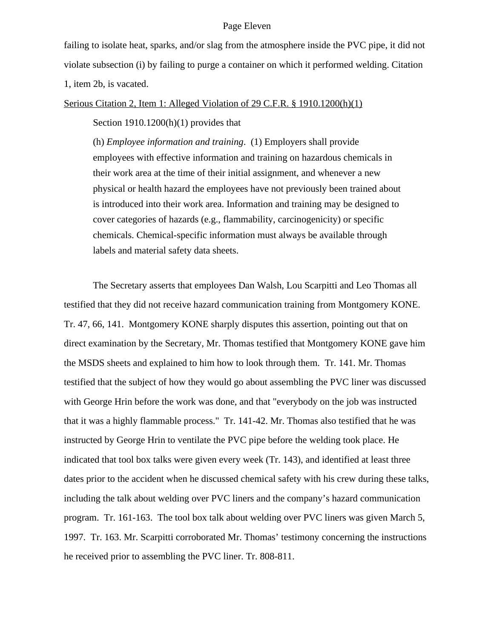#### Page Eleven

failing to isolate heat, sparks, and/or slag from the atmosphere inside the PVC pipe, it did not violate subsection (i) by failing to purge a container on which it performed welding. Citation 1, item 2b, is vacated.

#### Serious Citation 2, Item 1: Alleged Violation of 29 C.F.R. § 1910.1200(h)(1)

#### Section  $1910.1200(h)(1)$  provides that

(h) *Employee information and training*. (1) Employers shall provide employees with effective information and training on hazardous chemicals in their work area at the time of their initial assignment, and whenever a new physical or health hazard the employees have not previously been trained about is introduced into their work area. Information and training may be designed to cover categories of hazards (e.g., flammability, carcinogenicity) or specific chemicals. Chemical-specific information must always be available through labels and material safety data sheets.

The Secretary asserts that employees Dan Walsh, Lou Scarpitti and Leo Thomas all testified that they did not receive hazard communication training from Montgomery KONE. Tr. 47, 66, 141. Montgomery KONE sharply disputes this assertion, pointing out that on direct examination by the Secretary, Mr. Thomas testified that Montgomery KONE gave him the MSDS sheets and explained to him how to look through them. Tr. 141. Mr. Thomas testified that the subject of how they would go about assembling the PVC liner was discussed with George Hrin before the work was done, and that "everybody on the job was instructed that it was a highly flammable process." Tr. 141-42. Mr. Thomas also testified that he was instructed by George Hrin to ventilate the PVC pipe before the welding took place. He indicated that tool box talks were given every week (Tr. 143), and identified at least three dates prior to the accident when he discussed chemical safety with his crew during these talks, including the talk about welding over PVC liners and the company's hazard communication program. Tr. 161-163. The tool box talk about welding over PVC liners was given March 5, 1997. Tr. 163. Mr. Scarpitti corroborated Mr. Thomas' testimony concerning the instructions he received prior to assembling the PVC liner. Tr. 808-811.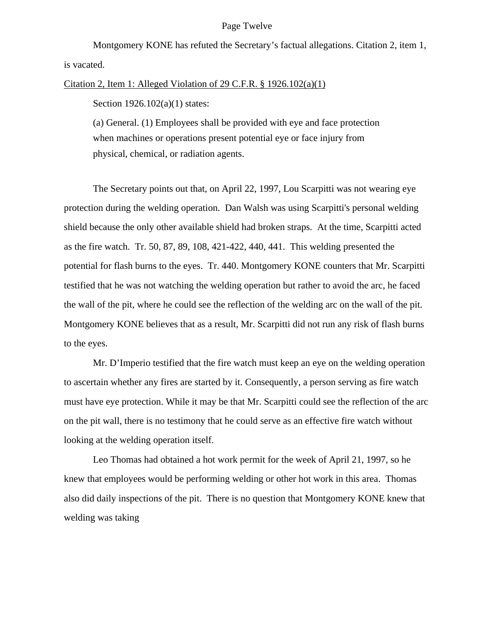#### Page Twelve

Montgomery KONE has refuted the Secretary's factual allegations. Citation 2, item 1, is vacated.

Citation 2, Item 1: Alleged Violation of 29 C.F.R. § 1926.102(a)(1)

Section 1926.102(a)(1) states:

(a) General. (1) Employees shall be provided with eye and face protection when machines or operations present potential eye or face injury from physical, chemical, or radiation agents.

The Secretary points out that, on April 22, 1997, Lou Scarpitti was not wearing eye protection during the welding operation. Dan Walsh was using Scarpitti's personal welding shield because the only other available shield had broken straps. At the time, Scarpitti acted as the fire watch. Tr. 50, 87, 89, 108, 421-422, 440, 441. This welding presented the potential for flash burns to the eyes. Tr. 440. Montgomery KONE counters that Mr. Scarpitti testified that he was not watching the welding operation but rather to avoid the arc, he faced the wall of the pit, where he could see the reflection of the welding arc on the wall of the pit. Montgomery KONE believes that as a result, Mr. Scarpitti did not run any risk of flash burns to the eyes.

Mr. D'Imperio testified that the fire watch must keep an eye on the welding operation to ascertain whether any fires are started by it. Consequently, a person serving as fire watch must have eye protection. While it may be that Mr. Scarpitti could see the reflection of the arc on the pit wall, there is no testimony that he could serve as an effective fire watch without looking at the welding operation itself.

Leo Thomas had obtained a hot work permit for the week of April 21, 1997, so he knew that employees would be performing welding or other hot work in this area. Thomas also did daily inspections of the pit. There is no question that Montgomery KONE knew that welding was taking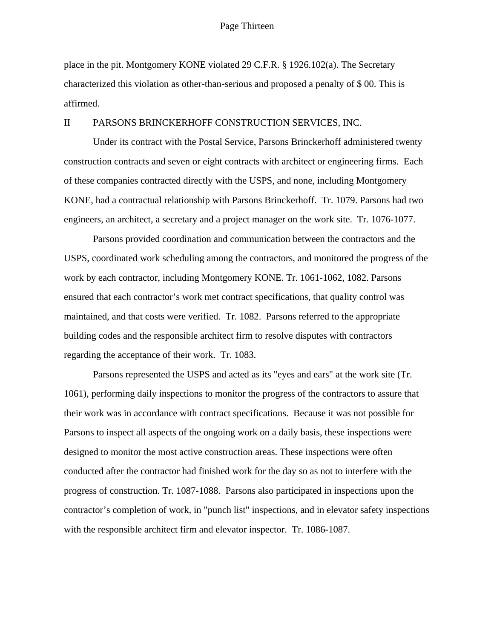#### Page Thirteen

place in the pit. Montgomery KONE violated 29 C.F.R. § 1926.102(a). The Secretary characterized this violation as other-than-serious and proposed a penalty of \$ 00. This is affirmed.

#### II PARSONS BRINCKERHOFF CONSTRUCTION SERVICES, INC.

Under its contract with the Postal Service, Parsons Brinckerhoff administered twenty construction contracts and seven or eight contracts with architect or engineering firms. Each of these companies contracted directly with the USPS, and none, including Montgomery KONE, had a contractual relationship with Parsons Brinckerhoff. Tr. 1079. Parsons had two engineers, an architect, a secretary and a project manager on the work site. Tr. 1076-1077.

Parsons provided coordination and communication between the contractors and the USPS, coordinated work scheduling among the contractors, and monitored the progress of the work by each contractor, including Montgomery KONE. Tr. 1061-1062, 1082. Parsons ensured that each contractor's work met contract specifications, that quality control was maintained, and that costs were verified. Tr. 1082. Parsons referred to the appropriate building codes and the responsible architect firm to resolve disputes with contractors regarding the acceptance of their work. Tr. 1083.

Parsons represented the USPS and acted as its "eyes and ears" at the work site (Tr. 1061), performing daily inspections to monitor the progress of the contractors to assure that their work was in accordance with contract specifications. Because it was not possible for Parsons to inspect all aspects of the ongoing work on a daily basis, these inspections were designed to monitor the most active construction areas. These inspections were often conducted after the contractor had finished work for the day so as not to interfere with the progress of construction. Tr. 1087-1088. Parsons also participated in inspections upon the contractor's completion of work, in "punch list" inspections, and in elevator safety inspections with the responsible architect firm and elevator inspector. Tr. 1086-1087.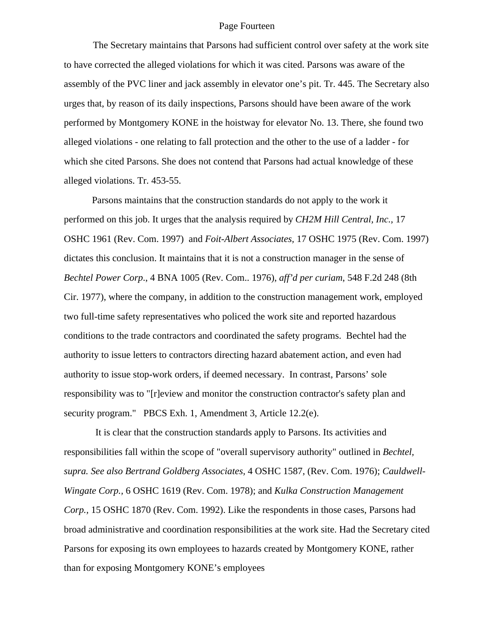#### Page Fourteen

The Secretary maintains that Parsons had sufficient control over safety at the work site to have corrected the alleged violations for which it was cited. Parsons was aware of the assembly of the PVC liner and jack assembly in elevator one's pit. Tr. 445. The Secretary also urges that, by reason of its daily inspections, Parsons should have been aware of the work performed by Montgomery KONE in the hoistway for elevator No. 13. There, she found two alleged violations - one relating to fall protection and the other to the use of a ladder - for which she cited Parsons. She does not contend that Parsons had actual knowledge of these alleged violations. Tr. 453-55.

 Parsons maintains that the construction standards do not apply to the work it performed on this job. It urges that the analysis required by *CH2M Hill Central, Inc.,* 17 OSHC 1961 (Rev. Com. 1997) and *Foit-Albert Associates,* 17 OSHC 1975 (Rev. Com. 1997) dictates this conclusion. It maintains that it is not a construction manager in the sense of *Bechtel Power Corp*., 4 BNA 1005 (Rev. Com.. 1976), *aff'd per curiam*, 548 F.2d 248 (8th Cir. 1977), where the company, in addition to the construction management work, employed two full-time safety representatives who policed the work site and reported hazardous conditions to the trade contractors and coordinated the safety programs. Bechtel had the authority to issue letters to contractors directing hazard abatement action, and even had authority to issue stop-work orders, if deemed necessary. In contrast, Parsons' sole responsibility was to "[r]eview and monitor the construction contractor's safety plan and security program." PBCS Exh. 1, Amendment 3, Article 12.2(e).

 It is clear that the construction standards apply to Parsons. Its activities and responsibilities fall within the scope of "overall supervisory authority" outlined in *Bechtel, supra. See also Bertrand Goldberg Associates,* 4 OSHC 1587, (Rev. Com. 1976); *Cauldwell-Wingate Corp.,* 6 OSHC 1619 (Rev. Com. 1978); and *Kulka Construction Management Corp.,* 15 OSHC 1870 (Rev. Com. 1992). Like the respondents in those cases, Parsons had broad administrative and coordination responsibilities at the work site. Had the Secretary cited Parsons for exposing its own employees to hazards created by Montgomery KONE, rather than for exposing Montgomery KONE's employees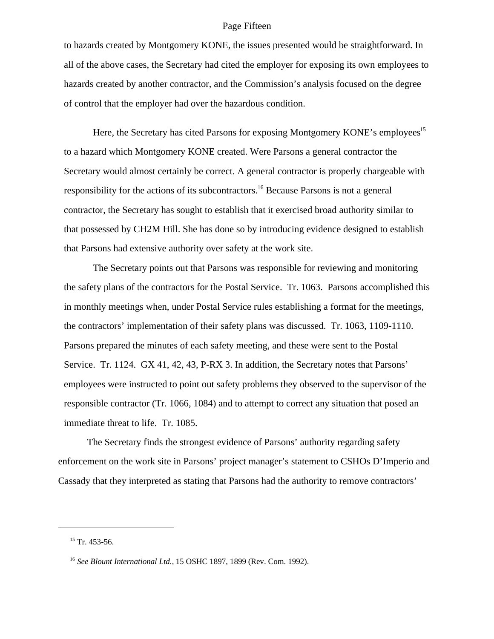#### Page Fifteen

to hazards created by Montgomery KONE, the issues presented would be straightforward. In all of the above cases, the Secretary had cited the employer for exposing its own employees to hazards created by another contractor, and the Commission's analysis focused on the degree of control that the employer had over the hazardous condition.

Here, the Secretary has cited Parsons for exposing Montgomery KONE's employees<sup>15</sup> to a hazard which Montgomery KONE created. Were Parsons a general contractor the Secretary would almost certainly be correct. A general contractor is properly chargeable with responsibility for the actions of its subcontractors.<sup>16</sup> Because Parsons is not a general contractor, the Secretary has sought to establish that it exercised broad authority similar to that possessed by CH2M Hill. She has done so by introducing evidence designed to establish that Parsons had extensive authority over safety at the work site.

The Secretary points out that Parsons was responsible for reviewing and monitoring the safety plans of the contractors for the Postal Service. Tr. 1063. Parsons accomplished this in monthly meetings when, under Postal Service rules establishing a format for the meetings, the contractors' implementation of their safety plans was discussed. Tr. 1063, 1109-1110. Parsons prepared the minutes of each safety meeting, and these were sent to the Postal Service. Tr. 1124. GX 41, 42, 43, P-RX 3. In addition, the Secretary notes that Parsons' employees were instructed to point out safety problems they observed to the supervisor of the responsible contractor (Tr. 1066, 1084) and to attempt to correct any situation that posed an immediate threat to life. Tr. 1085.

The Secretary finds the strongest evidence of Parsons' authority regarding safety enforcement on the work site in Parsons' project manager's statement to CSHOs D'Imperio and Cassady that they interpreted as stating that Parsons had the authority to remove contractors'

 $15$  Tr. 453-56.

<sup>16</sup> *See Blount International Ltd.,* 15 OSHC 1897, 1899 (Rev. Com. 1992).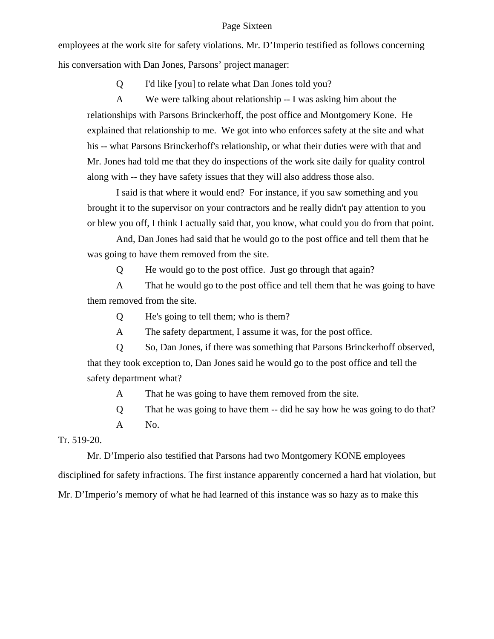#### Page Sixteen

employees at the work site for safety violations. Mr. D'Imperio testified as follows concerning his conversation with Dan Jones, Parsons' project manager:

Q I'd like [you] to relate what Dan Jones told you?

A We were talking about relationship -- I was asking him about the relationships with Parsons Brinckerhoff, the post office and Montgomery Kone. He explained that relationship to me. We got into who enforces safety at the site and what his -- what Parsons Brinckerhoff's relationship, or what their duties were with that and Mr. Jones had told me that they do inspections of the work site daily for quality control along with -- they have safety issues that they will also address those also.

I said is that where it would end? For instance, if you saw something and you brought it to the supervisor on your contractors and he really didn't pay attention to you or blew you off, I think I actually said that, you know, what could you do from that point.

And, Dan Jones had said that he would go to the post office and tell them that he was going to have them removed from the site.

Q He would go to the post office. Just go through that again?

A That he would go to the post office and tell them that he was going to have them removed from the site.

Q He's going to tell them; who is them?

A The safety department, I assume it was, for the post office.

Q So, Dan Jones, if there was something that Parsons Brinckerhoff observed, that they took exception to, Dan Jones said he would go to the post office and tell the safety department what?

A That he was going to have them removed from the site.

Q That he was going to have them -- did he say how he was going to do that? A No.

Tr. 519-20.

Mr. D'Imperio also testified that Parsons had two Montgomery KONE employees disciplined for safety infractions. The first instance apparently concerned a hard hat violation, but Mr. D'Imperio's memory of what he had learned of this instance was so hazy as to make this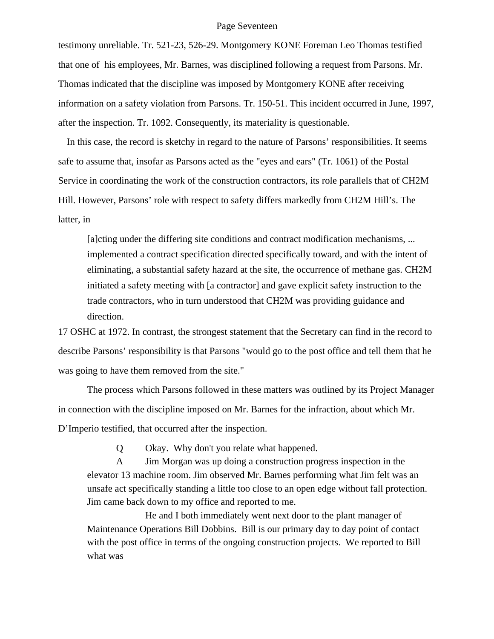#### Page Seventeen

testimony unreliable. Tr. 521-23, 526-29. Montgomery KONE Foreman Leo Thomas testified that one of his employees, Mr. Barnes, was disciplined following a request from Parsons. Mr. Thomas indicated that the discipline was imposed by Montgomery KONE after receiving information on a safety violation from Parsons. Tr. 150-51. This incident occurred in June, 1997, after the inspection. Tr. 1092. Consequently, its materiality is questionable.

In this case, the record is sketchy in regard to the nature of Parsons' responsibilities. It seems safe to assume that, insofar as Parsons acted as the "eyes and ears" (Tr. 1061) of the Postal Service in coordinating the work of the construction contractors, its role parallels that of CH2M Hill. However, Parsons' role with respect to safety differs markedly from CH2M Hill's. The latter, in

[a]cting under the differing site conditions and contract modification mechanisms, ... implemented a contract specification directed specifically toward, and with the intent of eliminating, a substantial safety hazard at the site, the occurrence of methane gas. CH2M initiated a safety meeting with [a contractor] and gave explicit safety instruction to the trade contractors, who in turn understood that CH2M was providing guidance and direction.

17 OSHC at 1972. In contrast, the strongest statement that the Secretary can find in the record to describe Parsons' responsibility is that Parsons "would go to the post office and tell them that he was going to have them removed from the site."

The process which Parsons followed in these matters was outlined by its Project Manager in connection with the discipline imposed on Mr. Barnes for the infraction, about which Mr. D'Imperio testified, that occurred after the inspection.

Q Okay. Why don't you relate what happened.

 A Jim Morgan was up doing a construction progress inspection in the elevator 13 machine room. Jim observed Mr. Barnes performing what Jim felt was an unsafe act specifically standing a little too close to an open edge without fall protection. Jim came back down to my office and reported to me.

He and I both immediately went next door to the plant manager of Maintenance Operations Bill Dobbins. Bill is our primary day to day point of contact with the post office in terms of the ongoing construction projects. We reported to Bill what was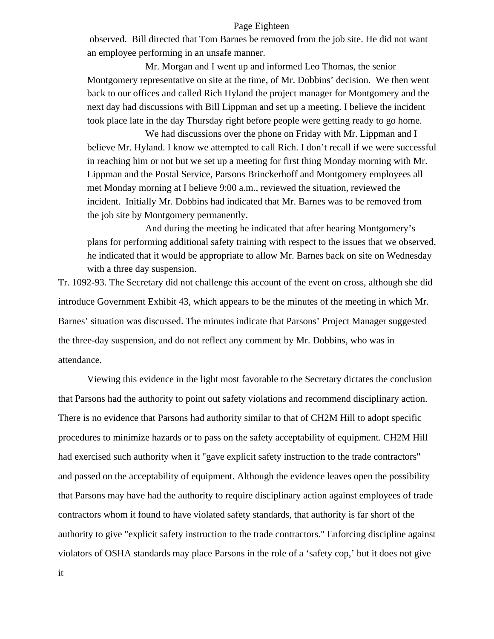#### Page Eighteen

 observed. Bill directed that Tom Barnes be removed from the job site. He did not want an employee performing in an unsafe manner.

Mr. Morgan and I went up and informed Leo Thomas, the senior Montgomery representative on site at the time, of Mr. Dobbins' decision. We then went back to our offices and called Rich Hyland the project manager for Montgomery and the next day had discussions with Bill Lippman and set up a meeting. I believe the incident took place late in the day Thursday right before people were getting ready to go home.

We had discussions over the phone on Friday with Mr. Lippman and I believe Mr. Hyland. I know we attempted to call Rich. I don't recall if we were successful in reaching him or not but we set up a meeting for first thing Monday morning with Mr. Lippman and the Postal Service, Parsons Brinckerhoff and Montgomery employees all met Monday morning at I believe 9:00 a.m., reviewed the situation, reviewed the incident. Initially Mr. Dobbins had indicated that Mr. Barnes was to be removed from the job site by Montgomery permanently.

And during the meeting he indicated that after hearing Montgomery's plans for performing additional safety training with respect to the issues that we observed, he indicated that it would be appropriate to allow Mr. Barnes back on site on Wednesday with a three day suspension.

Tr. 1092-93. The Secretary did not challenge this account of the event on cross, although she did introduce Government Exhibit 43, which appears to be the minutes of the meeting in which Mr. Barnes' situation was discussed. The minutes indicate that Parsons' Project Manager suggested the three-day suspension, and do not reflect any comment by Mr. Dobbins, who was in attendance.

Viewing this evidence in the light most favorable to the Secretary dictates the conclusion that Parsons had the authority to point out safety violations and recommend disciplinary action. There is no evidence that Parsons had authority similar to that of CH2M Hill to adopt specific procedures to minimize hazards or to pass on the safety acceptability of equipment. CH2M Hill had exercised such authority when it "gave explicit safety instruction to the trade contractors" and passed on the acceptability of equipment. Although the evidence leaves open the possibility that Parsons may have had the authority to require disciplinary action against employees of trade contractors whom it found to have violated safety standards, that authority is far short of the authority to give "explicit safety instruction to the trade contractors." Enforcing discipline against violators of OSHA standards may place Parsons in the role of a 'safety cop,' but it does not give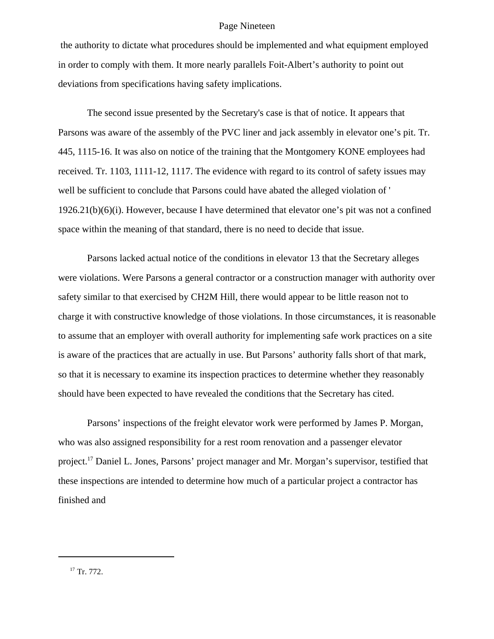#### Page Nineteen

 the authority to dictate what procedures should be implemented and what equipment employed in order to comply with them. It more nearly parallels Foit-Albert's authority to point out deviations from specifications having safety implications.

The second issue presented by the Secretary's case is that of notice. It appears that Parsons was aware of the assembly of the PVC liner and jack assembly in elevator one's pit. Tr. 445, 1115-16. It was also on notice of the training that the Montgomery KONE employees had received. Tr. 1103, 1111-12, 1117. The evidence with regard to its control of safety issues may well be sufficient to conclude that Parsons could have abated the alleged violation of '  $1926.21(b)(6)(i)$ . However, because I have determined that elevator one's pit was not a confined space within the meaning of that standard, there is no need to decide that issue.

Parsons lacked actual notice of the conditions in elevator 13 that the Secretary alleges were violations. Were Parsons a general contractor or a construction manager with authority over safety similar to that exercised by CH2M Hill, there would appear to be little reason not to charge it with constructive knowledge of those violations. In those circumstances, it is reasonable to assume that an employer with overall authority for implementing safe work practices on a site is aware of the practices that are actually in use. But Parsons' authority falls short of that mark, so that it is necessary to examine its inspection practices to determine whether they reasonably should have been expected to have revealed the conditions that the Secretary has cited.

Parsons' inspections of the freight elevator work were performed by James P. Morgan, who was also assigned responsibility for a rest room renovation and a passenger elevator project.17 Daniel L. Jones, Parsons' project manager and Mr. Morgan's supervisor, testified that these inspections are intended to determine how much of a particular project a contractor has finished and

<sup>&</sup>lt;sup>17</sup> Tr. 772.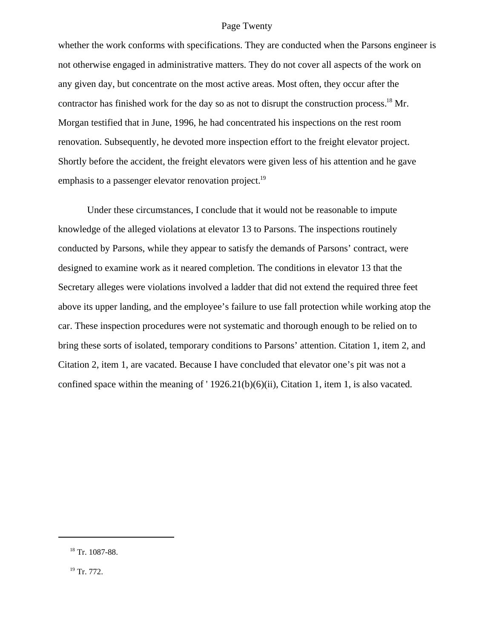#### Page Twenty

whether the work conforms with specifications. They are conducted when the Parsons engineer is not otherwise engaged in administrative matters. They do not cover all aspects of the work on any given day, but concentrate on the most active areas. Most often, they occur after the contractor has finished work for the day so as not to disrupt the construction process.<sup>18</sup> Mr. Morgan testified that in June, 1996, he had concentrated his inspections on the rest room renovation. Subsequently, he devoted more inspection effort to the freight elevator project. Shortly before the accident, the freight elevators were given less of his attention and he gave emphasis to a passenger elevator renovation project.<sup>19</sup>

Under these circumstances, I conclude that it would not be reasonable to impute knowledge of the alleged violations at elevator 13 to Parsons. The inspections routinely conducted by Parsons, while they appear to satisfy the demands of Parsons' contract, were designed to examine work as it neared completion. The conditions in elevator 13 that the Secretary alleges were violations involved a ladder that did not extend the required three feet above its upper landing, and the employee's failure to use fall protection while working atop the car. These inspection procedures were not systematic and thorough enough to be relied on to bring these sorts of isolated, temporary conditions to Parsons' attention. Citation 1, item 2, and Citation 2, item 1, are vacated. Because I have concluded that elevator one's pit was not a confined space within the meaning of ' 1926.21(b)(6)(ii), Citation 1, item 1, is also vacated.

 <sup>18</sup> Tr. 1087-88.

 $19$  Tr. 772.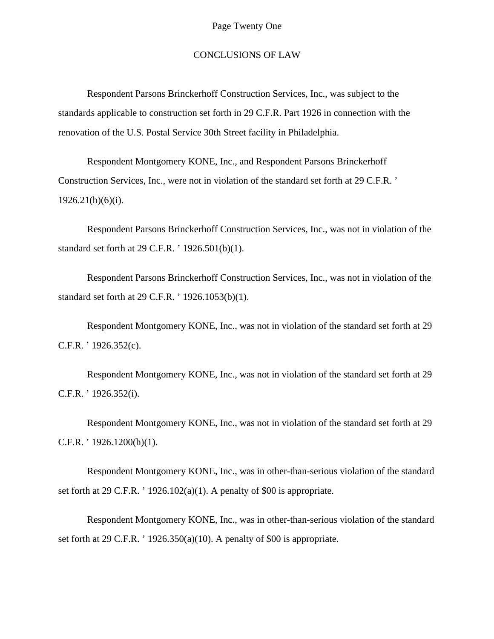### CONCLUSIONS OF LAW

Respondent Parsons Brinckerhoff Construction Services, Inc., was subject to the standards applicable to construction set forth in 29 C.F.R. Part 1926 in connection with the renovation of the U.S. Postal Service 30th Street facility in Philadelphia.

Respondent Montgomery KONE, Inc., and Respondent Parsons Brinckerhoff Construction Services, Inc., were not in violation of the standard set forth at 29 C.F.R. '  $1926.21(b)(6)(i)$ .

Respondent Parsons Brinckerhoff Construction Services, Inc., was not in violation of the standard set forth at 29 C.F.R. ' 1926.501(b)(1).

Respondent Parsons Brinckerhoff Construction Services, Inc., was not in violation of the standard set forth at 29 C.F.R. ' 1926.1053(b)(1).

Respondent Montgomery KONE, Inc., was not in violation of the standard set forth at 29 C.F.R. ' 1926.352(c).

Respondent Montgomery KONE, Inc., was not in violation of the standard set forth at 29 C.F.R. ' 1926.352(i).

Respondent Montgomery KONE, Inc., was not in violation of the standard set forth at 29 C.F.R. ' 1926.1200(h)(1).

Respondent Montgomery KONE, Inc., was in other-than-serious violation of the standard set forth at 29 C.F.R. ' 1926.102(a)(1). A penalty of \$00 is appropriate.

Respondent Montgomery KONE, Inc., was in other-than-serious violation of the standard set forth at 29 C.F.R. ' 1926.350(a)(10). A penalty of \$00 is appropriate.